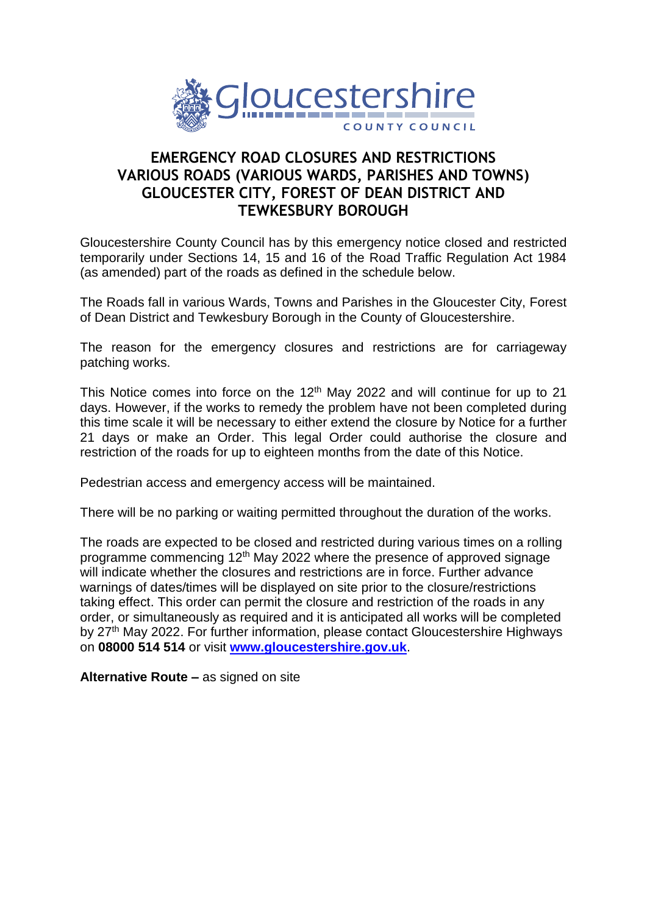

## **EMERGENCY ROAD CLOSURES AND RESTRICTIONS VARIOUS ROADS (VARIOUS WARDS, PARISHES AND TOWNS) GLOUCESTER CITY, FOREST OF DEAN DISTRICT AND TEWKESBURY BOROUGH**

Gloucestershire County Council has by this emergency notice closed and restricted temporarily under Sections 14, 15 and 16 of the Road Traffic Regulation Act 1984 (as amended) part of the roads as defined in the schedule below.

The Roads fall in various Wards, Towns and Parishes in the Gloucester City, Forest of Dean District and Tewkesbury Borough in the County of Gloucestershire.

The reason for the emergency closures and restrictions are for carriageway patching works.

This Notice comes into force on the  $12<sup>th</sup>$  May 2022 and will continue for up to 21 days. However, if the works to remedy the problem have not been completed during this time scale it will be necessary to either extend the closure by Notice for a further 21 days or make an Order. This legal Order could authorise the closure and restriction of the roads for up to eighteen months from the date of this Notice.

Pedestrian access and emergency access will be maintained.

There will be no parking or waiting permitted throughout the duration of the works.

The roads are expected to be closed and restricted during various times on a rolling programme commencing 12<sup>th</sup> May 2022 where the presence of approved signage will indicate whether the closures and restrictions are in force. Further advance warnings of dates/times will be displayed on site prior to the closure/restrictions taking effect. This order can permit the closure and restriction of the roads in any order, or simultaneously as required and it is anticipated all works will be completed by 27<sup>th</sup> May 2022. For further information, please contact Gloucestershire Highways on **08000 514 514** or visit **[www.gloucestershire.gov.uk](http://www.gloucestershire.gov.uk/)**.

**Alternative Route –** as signed on site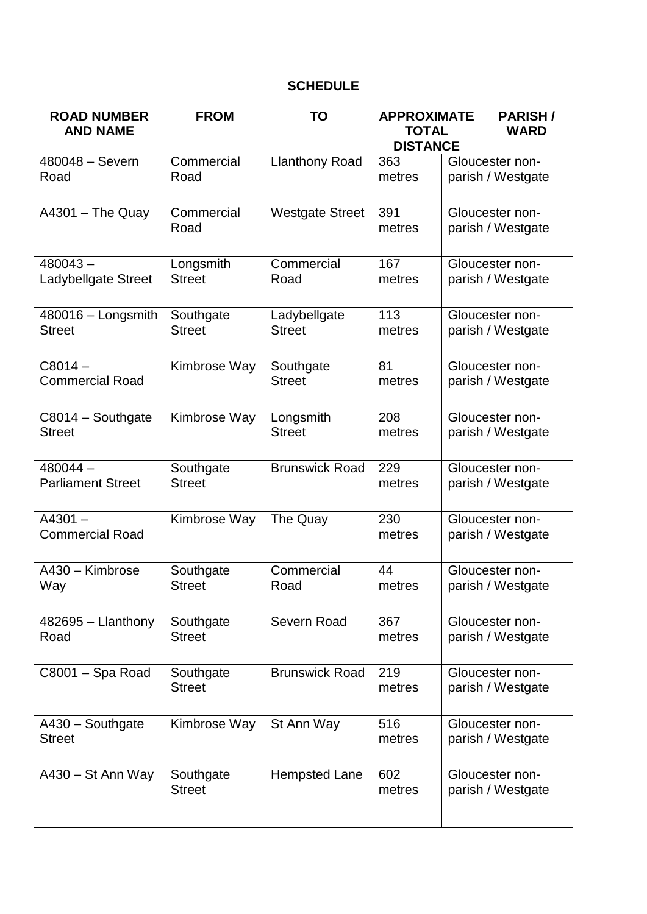## **SCHEDULE**

| <b>ROAD NUMBER</b><br><b>AND NAME</b>  | <b>FROM</b>                | TO                            | <b>APPROXIMATE</b><br><b>TOTAL</b> |  | <b>PARISH/</b><br><b>WARD</b>        |
|----------------------------------------|----------------------------|-------------------------------|------------------------------------|--|--------------------------------------|
|                                        |                            |                               | <b>DISTANCE</b>                    |  |                                      |
| 480048 - Severn<br>Road                | Commercial<br>Road         | <b>Llanthony Road</b>         | 363<br>metres                      |  | Gloucester non-<br>parish / Westgate |
| $A4301 - The Quay$                     | Commercial<br>Road         | <b>Westgate Street</b>        | 391<br>metres                      |  | Gloucester non-<br>parish / Westgate |
| $480043 -$<br>Ladybellgate Street      | Longsmith<br><b>Street</b> | Commercial<br>Road            | 167<br>metres                      |  | Gloucester non-<br>parish / Westgate |
| 480016 - Longsmith<br><b>Street</b>    | Southgate<br><b>Street</b> | Ladybellgate<br><b>Street</b> | 113<br>metres                      |  | Gloucester non-<br>parish / Westgate |
| $C8014 -$<br><b>Commercial Road</b>    | Kimbrose Way               | Southgate<br><b>Street</b>    | 81<br>metres                       |  | Gloucester non-<br>parish / Westgate |
| C8014 - Southgate<br><b>Street</b>     | Kimbrose Way               | Longsmith<br><b>Street</b>    | 208<br>metres                      |  | Gloucester non-<br>parish / Westgate |
| $480044 -$<br><b>Parliament Street</b> | Southgate<br><b>Street</b> | <b>Brunswick Road</b>         | 229<br>metres                      |  | Gloucester non-<br>parish / Westgate |
| $A4301 -$<br><b>Commercial Road</b>    | Kimbrose Way               | The Quay                      | 230<br>metres                      |  | Gloucester non-<br>parish / Westgate |
| A430 - Kimbrose<br>Way                 | Southgate<br><b>Street</b> | Commercial<br>Road            | 44<br>metres                       |  | Gloucester non-<br>parish / Westgate |
| $482695 -$ Llanthony<br>Road           | Southgate<br><b>Street</b> | Severn Road                   | 367<br>metres                      |  | Gloucester non-<br>parish / Westgate |
| C8001 - Spa Road                       | Southgate<br><b>Street</b> | <b>Brunswick Road</b>         | 219<br>metres                      |  | Gloucester non-<br>parish / Westgate |
| A430 - Southgate<br><b>Street</b>      | Kimbrose Way               | St Ann Way                    | 516<br>metres                      |  | Gloucester non-<br>parish / Westgate |
| $A430 - St$ Ann Way                    | Southgate<br><b>Street</b> | <b>Hempsted Lane</b>          | 602<br>metres                      |  | Gloucester non-<br>parish / Westgate |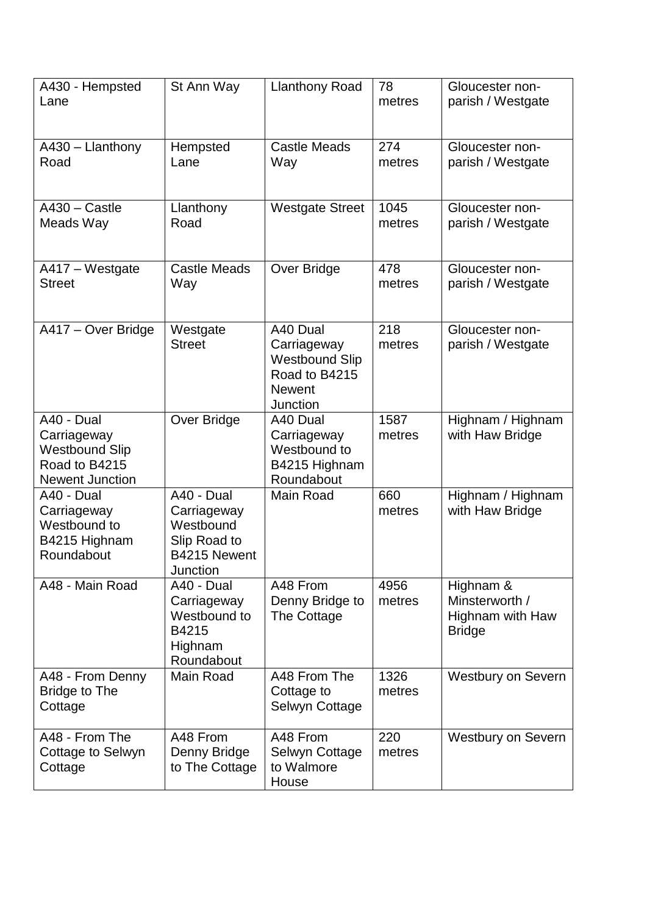| A430 - Hempsted<br>Lane                                                                       | St Ann Way                                                                         | <b>Llanthony Road</b>                                                                          | 78<br>metres   | Gloucester non-<br>parish / Westgate                             |
|-----------------------------------------------------------------------------------------------|------------------------------------------------------------------------------------|------------------------------------------------------------------------------------------------|----------------|------------------------------------------------------------------|
| A430 - Llanthony<br>Road                                                                      | Hempsted<br>Lane                                                                   | Castle Meads<br>Way                                                                            | 274<br>metres  | Gloucester non-<br>parish / Westgate                             |
| $A430 - Castle$<br>Meads Way                                                                  | Llanthony<br>Road                                                                  | <b>Westgate Street</b>                                                                         | 1045<br>metres | Gloucester non-<br>parish / Westgate                             |
| A417 - Westgate<br><b>Street</b>                                                              | <b>Castle Meads</b><br>Way                                                         | Over Bridge                                                                                    | 478<br>metres  | Gloucester non-<br>parish / Westgate                             |
| A417 - Over Bridge                                                                            | Westgate<br><b>Street</b>                                                          | A40 Dual<br>Carriageway<br><b>Westbound Slip</b><br>Road to B4215<br><b>Newent</b><br>Junction | 218<br>metres  | Gloucester non-<br>parish / Westgate                             |
| A40 - Dual<br>Carriageway<br><b>Westbound Slip</b><br>Road to B4215<br><b>Newent Junction</b> | Over Bridge                                                                        | A40 Dual<br>Carriageway<br>Westbound to<br>B4215 Highnam<br>Roundabout                         | 1587<br>metres | Highnam / Highnam<br>with Haw Bridge                             |
| A40 - Dual<br>Carriageway<br>Westbound to<br>B4215 Highnam<br>Roundabout                      | A40 - Dual<br>Carriageway<br>Westbound<br>Slip Road to<br>B4215 Newent<br>Junction | Main Road                                                                                      | 660<br>metres  | Highnam / Highnam<br>with Haw Bridge                             |
| A48 - Main Road                                                                               | A40 - Dual<br>Carriageway<br>Westbound to<br>B4215<br>Highnam<br>Roundabout        | A48 From<br>Denny Bridge to<br>The Cottage                                                     | 4956<br>metres | Highnam &<br>Minsterworth /<br>Highnam with Haw<br><b>Bridge</b> |
| A48 - From Denny<br><b>Bridge to The</b><br>Cottage                                           | Main Road                                                                          | A48 From The<br>Cottage to<br>Selwyn Cottage                                                   | 1326<br>metres | <b>Westbury on Severn</b>                                        |
| A48 - From The<br>Cottage to Selwyn<br>Cottage                                                | A48 From<br>Denny Bridge<br>to The Cottage                                         | A48 From<br>Selwyn Cottage<br>to Walmore<br>House                                              | 220<br>metres  | <b>Westbury on Severn</b>                                        |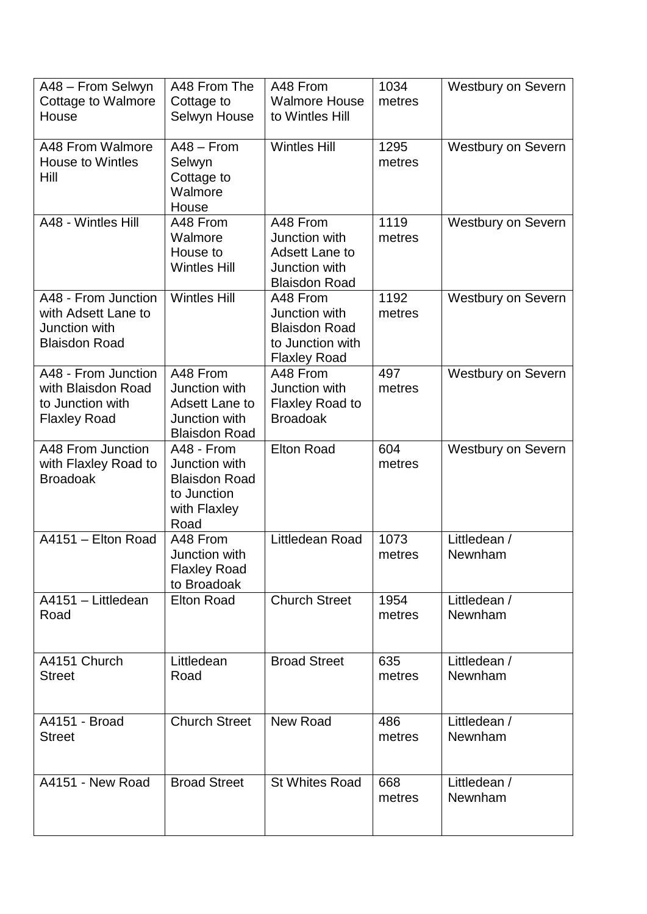| A48 - From Selwyn<br><b>Cottage to Walmore</b><br>House                              | A48 From The<br>Cottage to<br>Selwyn House                                                  | A48 From<br><b>Walmore House</b><br>to Wintles Hill                                          | 1034<br>metres | <b>Westbury on Severn</b> |
|--------------------------------------------------------------------------------------|---------------------------------------------------------------------------------------------|----------------------------------------------------------------------------------------------|----------------|---------------------------|
| A48 From Walmore<br><b>House to Wintles</b><br>Hill                                  | $A48 - From$<br>Selwyn<br>Cottage to<br>Walmore<br>House                                    | <b>Wintles Hill</b>                                                                          | 1295<br>metres | <b>Westbury on Severn</b> |
| A48 - Wintles Hill                                                                   | A48 From<br>Walmore<br>House to<br><b>Wintles Hill</b>                                      | A48 From<br>Junction with<br><b>Adsett Lane to</b><br>Junction with<br><b>Blaisdon Road</b>  | 1119<br>metres | <b>Westbury on Severn</b> |
| A48 - From Junction<br>with Adsett Lane to<br>Junction with<br><b>Blaisdon Road</b>  | <b>Wintles Hill</b>                                                                         | A48 From<br>Junction with<br><b>Blaisdon Road</b><br>to Junction with<br><b>Flaxley Road</b> | 1192<br>metres | <b>Westbury on Severn</b> |
| A48 - From Junction<br>with Blaisdon Road<br>to Junction with<br><b>Flaxley Road</b> | A48 From<br>Junction with<br><b>Adsett Lane to</b><br>Junction with<br><b>Blaisdon Road</b> | A48 From<br>Junction with<br><b>Flaxley Road to</b><br><b>Broadoak</b>                       | 497<br>metres  | <b>Westbury on Severn</b> |
| A48 From Junction<br>with Flaxley Road to<br><b>Broadoak</b>                         | A48 - From<br>Junction with<br><b>Blaisdon Road</b><br>to Junction<br>with Flaxley<br>Road  | <b>Elton Road</b>                                                                            | 604<br>metres  | <b>Westbury on Severn</b> |
| A4151 - Elton Road                                                                   | A48 From<br>Junction with<br><b>Flaxley Road</b><br>to Broadoak                             | Littledean Road                                                                              | 1073<br>metres | Littledean /<br>Newnham   |
| A4151 - Littledean<br>Road                                                           | <b>Elton Road</b>                                                                           | <b>Church Street</b>                                                                         | 1954<br>metres | Littledean /<br>Newnham   |
| A4151 Church<br><b>Street</b>                                                        | Littledean<br>Road                                                                          | <b>Broad Street</b>                                                                          | 635<br>metres  | Littledean /<br>Newnham   |
| A4151 - Broad<br><b>Street</b>                                                       | <b>Church Street</b>                                                                        | New Road                                                                                     | 486<br>metres  | Littledean /<br>Newnham   |
| A4151 - New Road                                                                     | <b>Broad Street</b>                                                                         | <b>St Whites Road</b>                                                                        | 668<br>metres  | Littledean /<br>Newnham   |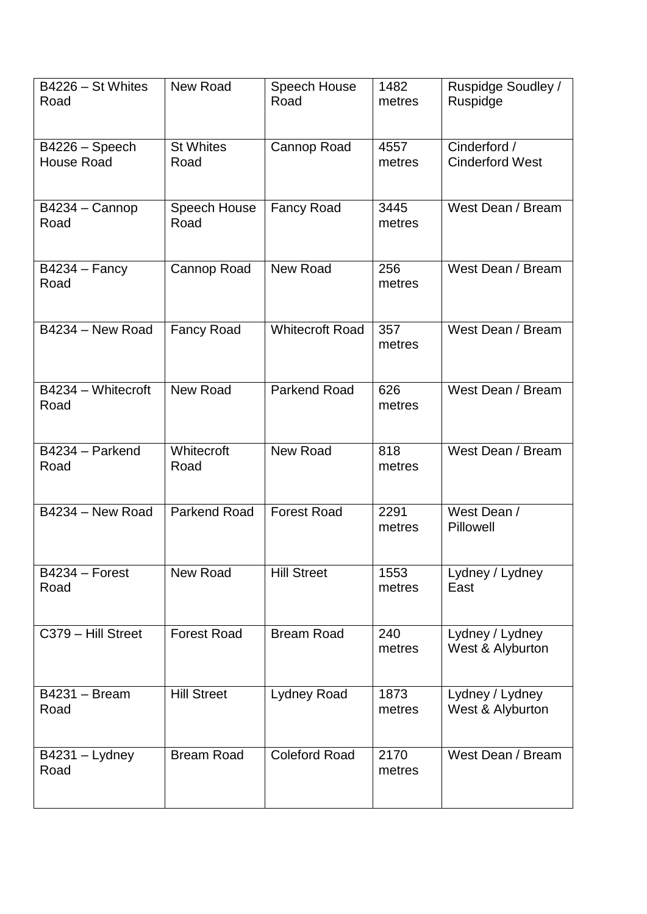| B4226 - St Whites<br>Road           | New Road                 | Speech House<br>Road   | 1482<br>metres | Ruspidge Soudley /<br>Ruspidge         |
|-------------------------------------|--------------------------|------------------------|----------------|----------------------------------------|
| B4226 - Speech<br><b>House Road</b> | <b>St Whites</b><br>Road | Cannop Road            | 4557<br>metres | Cinderford /<br><b>Cinderford West</b> |
| B4234 - Cannop<br>Road              | Speech House<br>Road     | <b>Fancy Road</b>      | 3445<br>metres | West Dean / Bream                      |
| $B4234 - Fancy$<br>Road             | Cannop Road              | New Road               | 256<br>metres  | West Dean / Bream                      |
| B4234 - New Road                    | <b>Fancy Road</b>        | <b>Whitecroft Road</b> | 357<br>metres  | West Dean / Bream                      |
| B4234 - Whitecroft<br>Road          | New Road                 | <b>Parkend Road</b>    | 626<br>metres  | West Dean / Bream                      |
| B4234 - Parkend<br>Road             | Whitecroft<br>Road       | New Road               | 818<br>metres  | West Dean / Bream                      |
| B4234 - New Road                    | <b>Parkend Road</b>      | <b>Forest Road</b>     | 2291<br>metres | West Dean /<br>Pillowell               |
| B4234 - Forest<br>Road              | <b>New Road</b>          | <b>Hill Street</b>     | 1553<br>metres | Lydney / Lydney<br>East                |
| C379 - Hill Street                  | <b>Forest Road</b>       | <b>Bream Road</b>      | 240<br>metres  | Lydney / Lydney<br>West & Alyburton    |
| <b>B4231 - Bream</b><br>Road        | <b>Hill Street</b>       | Lydney Road            | 1873<br>metres | Lydney / Lydney<br>West & Alyburton    |
| $B4231 - Lydney$<br>Road            | <b>Bream Road</b>        | <b>Coleford Road</b>   | 2170<br>metres | West Dean / Bream                      |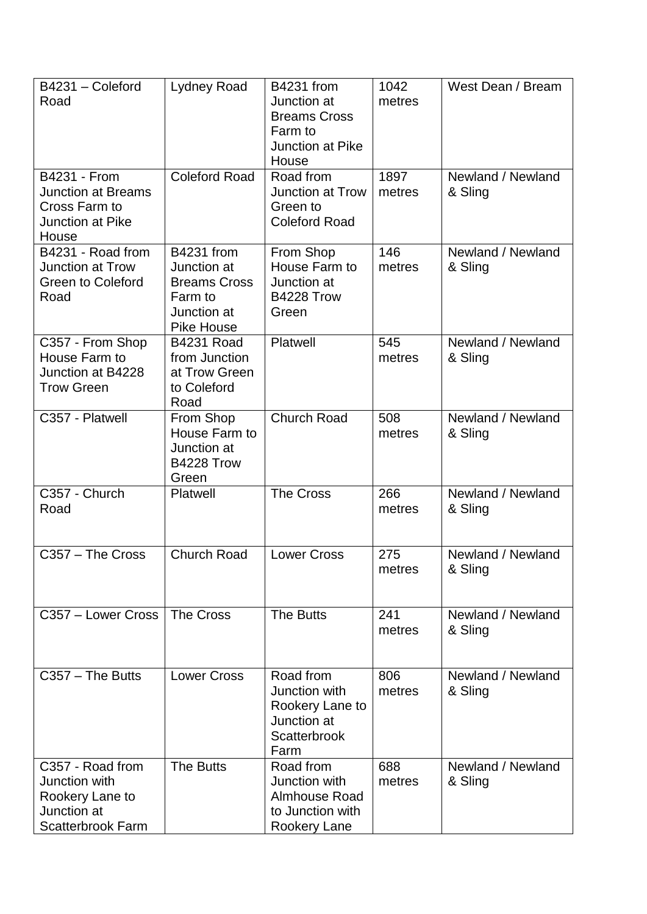| B4231 - Coleford<br>Road                                                                        | <b>Lydney Road</b>                                                                                     | <b>B4231 from</b><br>Junction at<br><b>Breams Cross</b><br>Farm to<br>Junction at Pike<br>House | 1042<br>metres | West Dean / Bream            |
|-------------------------------------------------------------------------------------------------|--------------------------------------------------------------------------------------------------------|-------------------------------------------------------------------------------------------------|----------------|------------------------------|
| <b>B4231 - From</b><br><b>Junction at Breams</b><br>Cross Farm to<br>Junction at Pike<br>House  | <b>Coleford Road</b>                                                                                   | Road from<br>Junction at Trow<br>Green to<br><b>Coleford Road</b>                               | 1897<br>metres | Newland / Newland<br>& Sling |
| B4231 - Road from<br>Junction at Trow<br><b>Green to Coleford</b><br>Road                       | <b>B4231 from</b><br>Junction at<br><b>Breams Cross</b><br>Farm to<br>Junction at<br><b>Pike House</b> | From Shop<br>House Farm to<br>Junction at<br>B4228 Trow<br>Green                                | 146<br>metres  | Newland / Newland<br>& Sling |
| C357 - From Shop<br>House Farm to<br>Junction at B4228<br><b>Trow Green</b>                     | <b>B4231 Road</b><br>from Junction<br>at Trow Green<br>to Coleford<br>Road                             | Platwell                                                                                        | 545<br>metres  | Newland / Newland<br>& Sling |
| C357 - Platwell                                                                                 | From Shop<br>House Farm to<br>Junction at<br>B4228 Trow<br>Green                                       | <b>Church Road</b>                                                                              | 508<br>metres  | Newland / Newland<br>& Sling |
| C357 - Church<br>Road                                                                           | Platwell                                                                                               | <b>The Cross</b>                                                                                | 266<br>metres  | Newland / Newland<br>& Sling |
| C357 - The Cross                                                                                | <b>Church Road</b>                                                                                     | <b>Lower Cross</b>                                                                              | 275<br>metres  | Newland / Newland<br>& Sling |
| C357 - Lower Cross                                                                              | The Cross                                                                                              | The Butts                                                                                       | 241<br>metres  | Newland / Newland<br>& Sling |
| $C357 - The Butts$                                                                              | <b>Lower Cross</b>                                                                                     | Road from<br>Junction with<br>Rookery Lane to<br>Junction at<br><b>Scatterbrook</b><br>Farm     | 806<br>metres  | Newland / Newland<br>& Sling |
| C357 - Road from<br>Junction with<br>Rookery Lane to<br>Junction at<br><b>Scatterbrook Farm</b> | The Butts                                                                                              | Road from<br>Junction with<br><b>Almhouse Road</b><br>to Junction with<br>Rookery Lane          | 688<br>metres  | Newland / Newland<br>& Sling |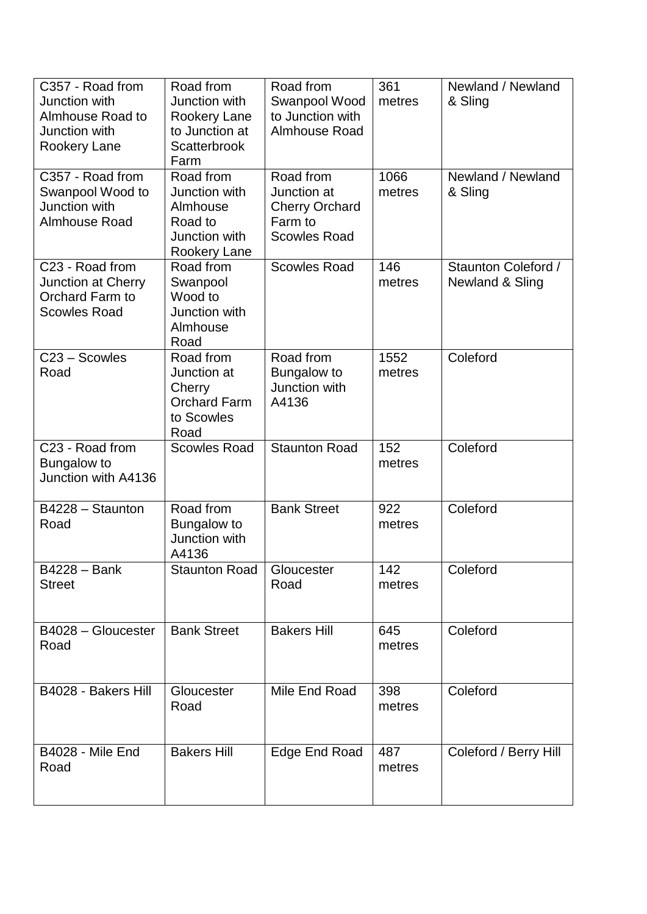| C357 - Road from<br>Junction with<br>Almhouse Road to<br>Junction with<br>Rookery Lane | Road from<br>Junction with<br>Rookery Lane<br>to Junction at<br>Scatterbrook<br>Farm | Road from<br>Swanpool Wood<br>to Junction with<br>Almhouse Road                     | 361<br>metres  | Newland / Newland<br>& Sling           |
|----------------------------------------------------------------------------------------|--------------------------------------------------------------------------------------|-------------------------------------------------------------------------------------|----------------|----------------------------------------|
| C357 - Road from<br>Swanpool Wood to<br>Junction with<br>Almhouse Road                 | Road from<br>Junction with<br>Almhouse<br>Road to<br>Junction with<br>Rookery Lane   | Road from<br>Junction at<br><b>Cherry Orchard</b><br>Farm to<br><b>Scowles Road</b> | 1066<br>metres | Newland / Newland<br>& Sling           |
| C23 - Road from<br>Junction at Cherry<br>Orchard Farm to<br><b>Scowles Road</b>        | Road from<br>Swanpool<br>Wood to<br>Junction with<br>Almhouse<br>Road                | <b>Scowles Road</b>                                                                 | 146<br>metres  | Staunton Coleford /<br>Newland & Sling |
| C23 - Scowles<br>Road                                                                  | Road from<br>Junction at<br>Cherry<br><b>Orchard Farm</b><br>to Scowles<br>Road      | Road from<br>Bungalow to<br>Junction with<br>A4136                                  | 1552<br>metres | Coleford                               |
| C23 - Road from<br>Bungalow to<br>Junction with A4136                                  | <b>Scowles Road</b>                                                                  | <b>Staunton Road</b>                                                                | 152<br>metres  | Coleford                               |
| B4228 - Staunton<br>Road                                                               | Road from<br>Bungalow to<br>Junction with<br>A4136                                   | <b>Bank Street</b>                                                                  | 922<br>metres  | Coleford                               |
| <b>B4228 - Bank</b><br><b>Street</b>                                                   | <b>Staunton Road</b>                                                                 | Gloucester<br>Road                                                                  | 142<br>metres  | Coleford                               |
| B4028 - Gloucester<br>Road                                                             | <b>Bank Street</b>                                                                   | <b>Bakers Hill</b>                                                                  | 645<br>metres  | Coleford                               |
| B4028 - Bakers Hill                                                                    | Gloucester<br>Road                                                                   | Mile End Road                                                                       | 398<br>metres  | Coleford                               |
| B4028 - Mile End<br>Road                                                               | <b>Bakers Hill</b>                                                                   | Edge End Road                                                                       | 487<br>metres  | Coleford / Berry Hill                  |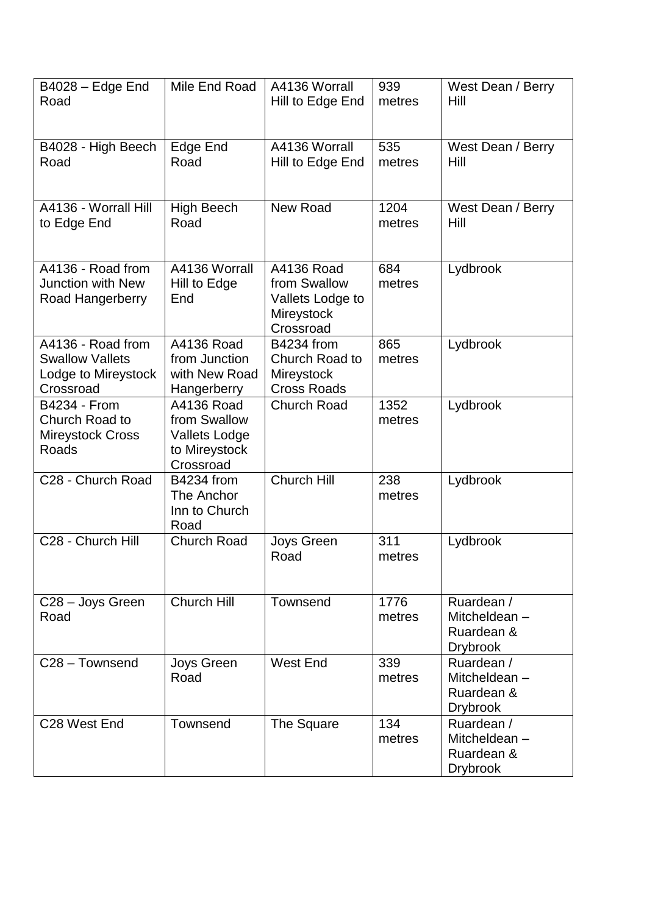| $B4028 - E$ dge End<br>Road                                                     | Mile End Road                                                                    | A4136 Worrall<br>Hill to Edge End                                         | 939<br>metres  | West Dean / Berry<br>Hill                                   |
|---------------------------------------------------------------------------------|----------------------------------------------------------------------------------|---------------------------------------------------------------------------|----------------|-------------------------------------------------------------|
| B4028 - High Beech<br>Road                                                      | Edge End<br>Road                                                                 | A4136 Worrall<br>Hill to Edge End                                         | 535<br>metres  | West Dean / Berry<br>Hill                                   |
| A4136 - Worrall Hill<br>to Edge End                                             | High Beech<br>Road                                                               | New Road                                                                  | 1204<br>metres | West Dean / Berry<br>Hill                                   |
| A4136 - Road from<br><b>Junction with New</b><br>Road Hangerberry               | A4136 Worrall<br>Hill to Edge<br>End                                             | A4136 Road<br>from Swallow<br>Vallets Lodge to<br>Mireystock<br>Crossroad | 684<br>metres  | Lydbrook                                                    |
| A4136 - Road from<br><b>Swallow Vallets</b><br>Lodge to Mireystock<br>Crossroad | A4136 Road<br>from Junction<br>with New Road<br>Hangerberry                      | <b>B4234 from</b><br>Church Road to<br>Mireystock<br><b>Cross Roads</b>   | 865<br>metres  | Lydbrook                                                    |
| <b>B4234 - From</b><br>Church Road to<br><b>Mireystock Cross</b><br>Roads       | A4136 Road<br>from Swallow<br><b>Vallets Lodge</b><br>to Mireystock<br>Crossroad | <b>Church Road</b>                                                        | 1352<br>metres | Lydbrook                                                    |
| C28 - Church Road                                                               | <b>B4234 from</b><br>The Anchor<br>Inn to Church<br>Road                         | <b>Church Hill</b>                                                        | 238<br>metres  | Lydbrook                                                    |
| C28 - Church Hill                                                               | <b>Church Road</b>                                                               | Joys Green<br>Road                                                        | 311<br>metres  | Lydbrook                                                    |
| C28 - Joys Green<br>Road                                                        | <b>Church Hill</b>                                                               | Townsend                                                                  | 1776<br>metres | Ruardean /<br>Mitcheldean-<br>Ruardean &<br><b>Drybrook</b> |
| C <sub>28</sub> - Townsend                                                      | Joys Green<br>Road                                                               | <b>West End</b>                                                           | 339<br>metres  | Ruardean /<br>Mitcheldean-<br>Ruardean &<br><b>Drybrook</b> |
| C <sub>28</sub> West End                                                        | Townsend                                                                         | The Square                                                                | 134<br>metres  | Ruardean /<br>Mitcheldean-<br>Ruardean &<br><b>Drybrook</b> |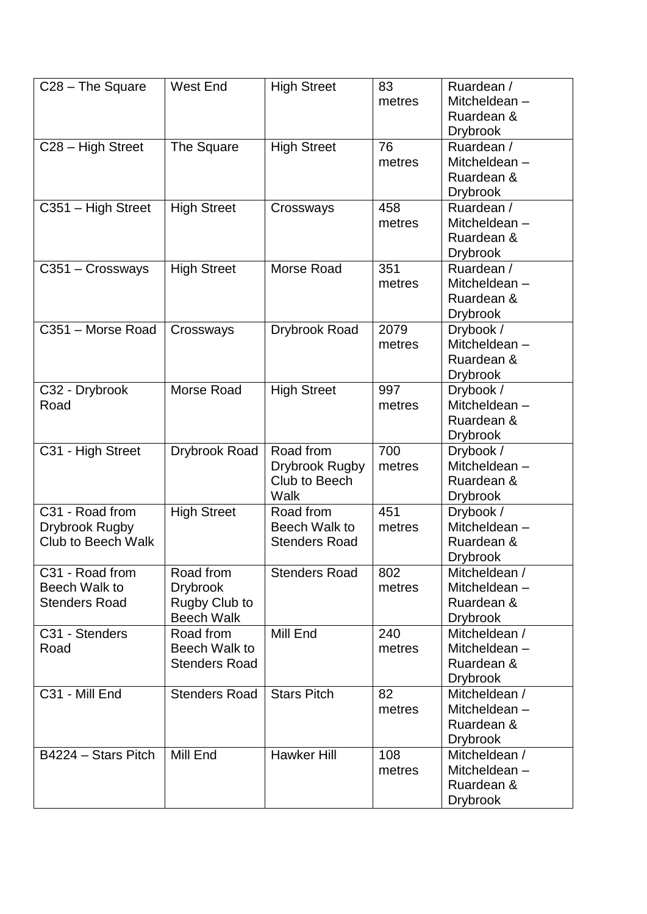| C28 - The Square                                               | <b>West End</b>                                                    | <b>High Street</b>                                   | 83<br>metres   | Ruardean /<br>Mitcheldean-<br>Ruardean &<br><b>Drybrook</b>    |
|----------------------------------------------------------------|--------------------------------------------------------------------|------------------------------------------------------|----------------|----------------------------------------------------------------|
| C28 - High Street                                              | The Square                                                         | <b>High Street</b>                                   | 76<br>metres   | Ruardean /<br>Mitcheldean-<br>Ruardean &<br><b>Drybrook</b>    |
| C351 - High Street                                             | <b>High Street</b>                                                 | Crossways                                            | 458<br>metres  | Ruardean /<br>Mitcheldean-<br>Ruardean &<br><b>Drybrook</b>    |
| C351 - Crossways                                               | <b>High Street</b>                                                 | Morse Road                                           | 351<br>metres  | Ruardean /<br>Mitcheldean-<br>Ruardean &<br><b>Drybrook</b>    |
| C351 - Morse Road                                              | Crossways                                                          | Drybrook Road                                        | 2079<br>metres | Drybook /<br>Mitcheldean-<br>Ruardean &<br><b>Drybrook</b>     |
| C32 - Drybrook<br>Road                                         | Morse Road                                                         | <b>High Street</b>                                   | 997<br>metres  | Drybook /<br>Mitcheldean-<br>Ruardean &<br><b>Drybrook</b>     |
| C31 - High Street                                              | Drybrook Road                                                      | Road from<br>Drybrook Rugby<br>Club to Beech<br>Walk | 700<br>metres  | Drybook /<br>Mitcheldean-<br>Ruardean &<br><b>Drybrook</b>     |
| C31 - Road from<br>Drybrook Rugby<br><b>Club to Beech Walk</b> | <b>High Street</b>                                                 | Road from<br>Beech Walk to<br><b>Stenders Road</b>   | 451<br>metres  | Drybook /<br>Mitcheldean-<br>Ruardean &<br><b>Drybrook</b>     |
| C31 - Road from<br>Beech Walk to<br><b>Stenders Road</b>       | Road from<br><b>Drybrook</b><br>Rugby Club to<br><b>Beech Walk</b> | <b>Stenders Road</b>                                 | 802<br>metres  | Mitcheldean /<br>Mitcheldean-<br>Ruardean &<br><b>Drybrook</b> |
| C31 - Stenders<br>Road                                         | Road from<br>Beech Walk to<br><b>Stenders Road</b>                 | Mill End                                             | 240<br>metres  | Mitcheldean /<br>Mitcheldean-<br>Ruardean &<br><b>Drybrook</b> |
| C31 - Mill End                                                 | <b>Stenders Road</b>                                               | <b>Stars Pitch</b>                                   | 82<br>metres   | Mitcheldean /<br>Mitcheldean-<br>Ruardean &<br><b>Drybrook</b> |
| B4224 - Stars Pitch                                            | Mill End                                                           | <b>Hawker Hill</b>                                   | 108<br>metres  | Mitcheldean /<br>Mitcheldean-<br>Ruardean &<br><b>Drybrook</b> |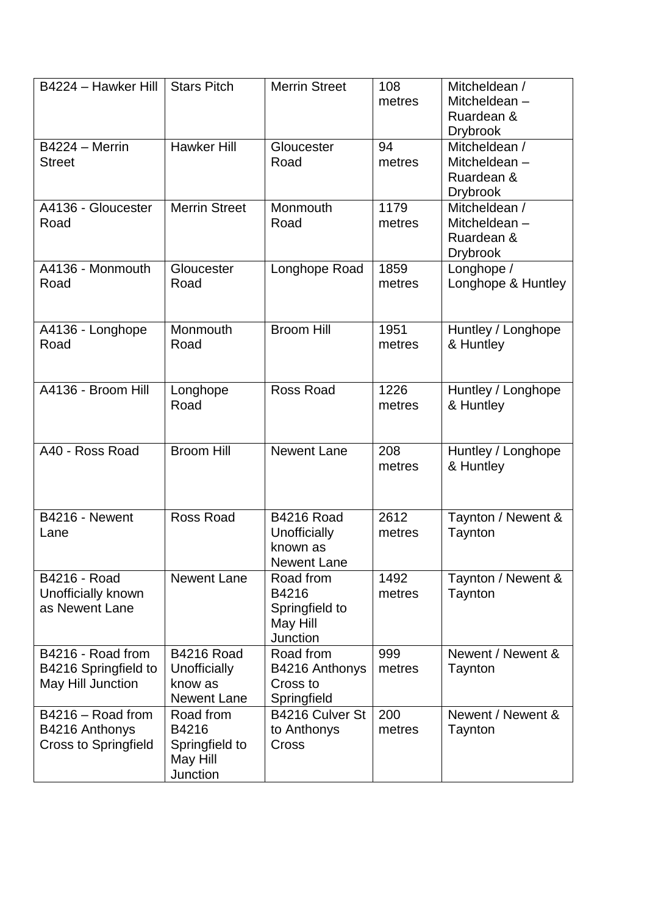| B4224 - Hawker Hill         | <b>Stars Pitch</b>   | <b>Merrin Street</b> | 108    | Mitcheldean /      |
|-----------------------------|----------------------|----------------------|--------|--------------------|
|                             |                      |                      | metres | Mitcheldean-       |
|                             |                      |                      |        | Ruardean &         |
|                             |                      |                      |        | <b>Drybrook</b>    |
| $B4224 - \text{Merrin}$     | <b>Hawker Hill</b>   | Gloucester           | 94     | Mitcheldean /      |
| <b>Street</b>               |                      | Road                 | metres | Mitcheldean-       |
|                             |                      |                      |        | Ruardean &         |
|                             |                      |                      |        | <b>Drybrook</b>    |
| A4136 - Gloucester          | <b>Merrin Street</b> | Monmouth             | 1179   | Mitcheldean /      |
| Road                        |                      | Road                 | metres | Mitcheldean-       |
|                             |                      |                      |        | Ruardean &         |
|                             |                      |                      |        | <b>Drybrook</b>    |
| A4136 - Monmouth            | Gloucester           | Longhope Road        | 1859   | Longhope /         |
| Road                        | Road                 |                      | metres | Longhope & Huntley |
|                             |                      |                      |        |                    |
|                             |                      |                      |        |                    |
| A4136 - Longhope            | Monmouth             | <b>Broom Hill</b>    | 1951   | Huntley / Longhope |
| Road                        | Road                 |                      | metres | & Huntley          |
|                             |                      |                      |        |                    |
|                             |                      |                      |        |                    |
| A4136 - Broom Hill          | Longhope             | Ross Road            | 1226   | Huntley / Longhope |
|                             | Road                 |                      | metres | & Huntley          |
|                             |                      |                      |        |                    |
|                             |                      |                      |        |                    |
| A40 - Ross Road             | <b>Broom Hill</b>    | <b>Newent Lane</b>   | 208    | Huntley / Longhope |
|                             |                      |                      | metres | & Huntley          |
|                             |                      |                      |        |                    |
|                             |                      |                      |        |                    |
|                             | Ross Road            | <b>B4216 Road</b>    | 2612   |                    |
| B4216 - Newent              |                      |                      |        | Taynton / Newent & |
| Lane                        |                      | Unofficially         | metres | Taynton            |
|                             |                      | known as             |        |                    |
|                             |                      | Newent Lane          |        |                    |
| B4216 - Road                | <b>Newent Lane</b>   | Road from            | 1492   | Taynton / Newent & |
| Unofficially known          |                      | B4216                | metres | Taynton            |
| as Newent Lane              |                      | Springfield to       |        |                    |
|                             |                      | May Hill             |        |                    |
|                             |                      | <b>Junction</b>      |        |                    |
| B4216 - Road from           | <b>B4216 Road</b>    | Road from            | 999    | Newent / Newent &  |
| B4216 Springfield to        | Unofficially         | B4216 Anthonys       | metres | Taynton            |
| May Hill Junction           | know as              | Cross to             |        |                    |
|                             | <b>Newent Lane</b>   | Springfield          |        |                    |
| B4216 - Road from           | Road from            | B4216 Culver St      | 200    | Newent / Newent &  |
| B4216 Anthonys              | B4216                | to Anthonys          | metres | Taynton            |
| <b>Cross to Springfield</b> | Springfield to       | Cross                |        |                    |
|                             | May Hill             |                      |        |                    |
|                             | Junction             |                      |        |                    |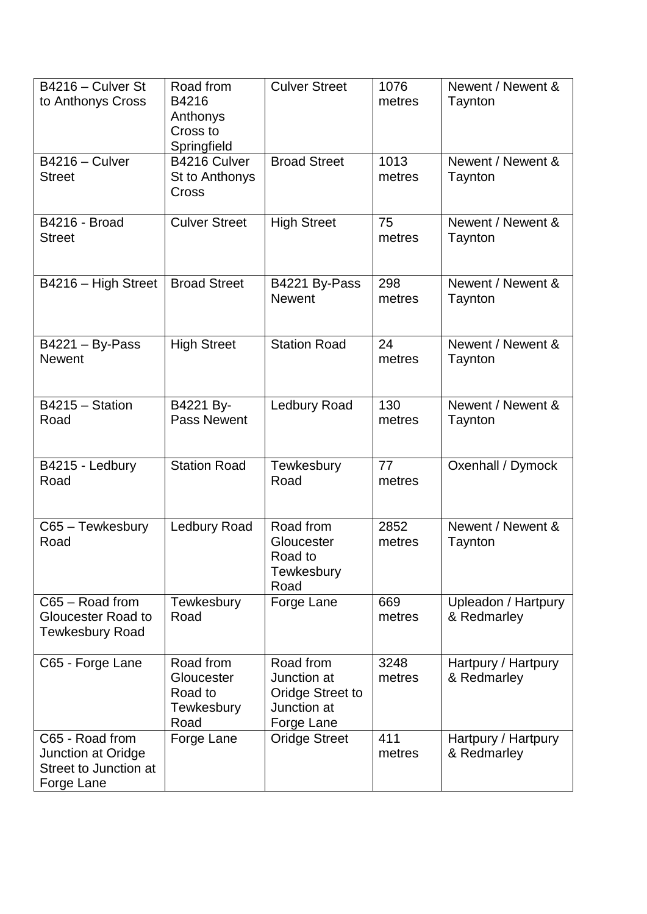| B4216 - Culver St<br>to Anthonys Cross                                       | Road from<br>B4216<br>Anthonys<br>Cross to<br>Springfield | <b>Culver Street</b>                                                             | 1076<br>metres | Newent / Newent &<br>Taynton       |
|------------------------------------------------------------------------------|-----------------------------------------------------------|----------------------------------------------------------------------------------|----------------|------------------------------------|
| B4216 - Culver<br><b>Street</b>                                              | B4216 Culver<br>St to Anthonys<br>Cross                   | <b>Broad Street</b>                                                              | 1013<br>metres | Newent / Newent &<br>Taynton       |
| <b>B4216 - Broad</b><br><b>Street</b>                                        | <b>Culver Street</b>                                      | <b>High Street</b>                                                               | 75<br>metres   | Newent / Newent &<br>Taynton       |
| B4216 - High Street                                                          | <b>Broad Street</b>                                       | B4221 By-Pass<br><b>Newent</b>                                                   | 298<br>metres  | Newent / Newent &<br>Taynton       |
| $B4221 - By-Pass$<br><b>Newent</b>                                           | <b>High Street</b>                                        | <b>Station Road</b>                                                              | 24<br>metres   | Newent / Newent &<br>Taynton       |
| B4215 - Station<br>Road                                                      | B4221 By-<br><b>Pass Newent</b>                           | <b>Ledbury Road</b>                                                              | 130<br>metres  | Newent / Newent &<br>Taynton       |
| B4215 - Ledbury<br>Road                                                      | <b>Station Road</b>                                       | Tewkesbury<br>Road                                                               | 77<br>metres   | Oxenhall / Dymock                  |
| C65 - Tewkesbury<br>Road                                                     | Ledbury Road                                              | Road from<br>Gloucester<br>Road to<br>Tewkesbury<br>Road                         | 2852<br>metres | Newent / Newent &<br>Taynton       |
| C65 - Road from<br>Gloucester Road to<br><b>Tewkesbury Road</b>              | Tewkesbury<br>Road                                        | Forge Lane                                                                       | 669<br>metres  | Upleadon / Hartpury<br>& Redmarley |
| C65 - Forge Lane                                                             | Road from<br>Gloucester<br>Road to<br>Tewkesbury<br>Road  | Road from<br>Junction at<br><b>Oridge Street to</b><br>Junction at<br>Forge Lane | 3248<br>metres | Hartpury / Hartpury<br>& Redmarley |
| C65 - Road from<br>Junction at Oridge<br>Street to Junction at<br>Forge Lane | Forge Lane                                                | <b>Oridge Street</b>                                                             | 411<br>metres  | Hartpury / Hartpury<br>& Redmarley |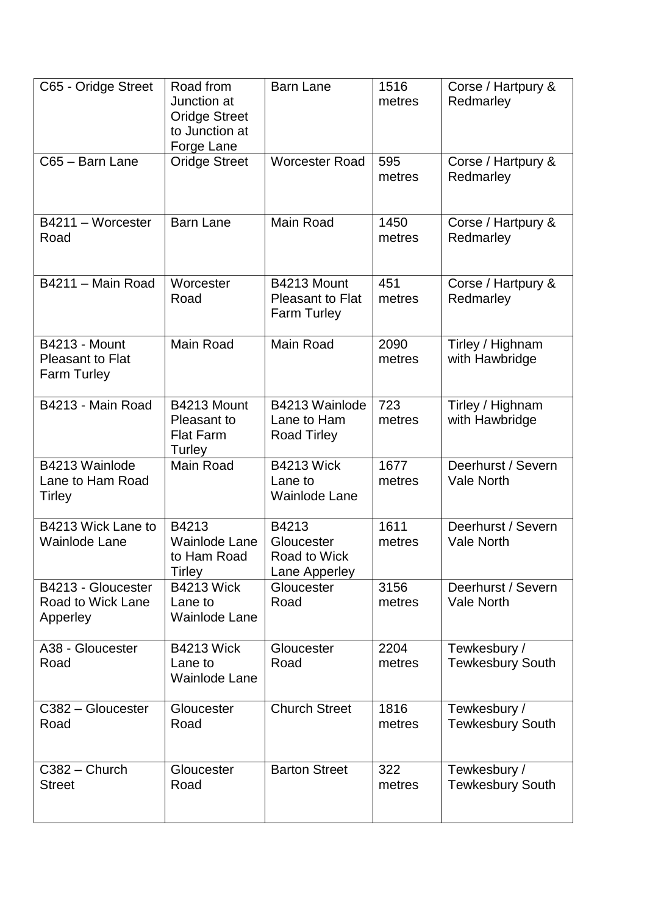| C65 - Oridge Street                                                   | Road from<br>Junction at<br><b>Oridge Street</b><br>to Junction at<br>Forge Lane | <b>Barn Lane</b>                                             | 1516<br>metres | Corse / Hartpury &<br>Redmarley         |
|-----------------------------------------------------------------------|----------------------------------------------------------------------------------|--------------------------------------------------------------|----------------|-----------------------------------------|
| C65 - Barn Lane                                                       | <b>Oridge Street</b>                                                             | <b>Worcester Road</b>                                        | 595<br>metres  | Corse / Hartpury &<br>Redmarley         |
| B4211 - Worcester<br>Road                                             | <b>Barn Lane</b>                                                                 | Main Road                                                    | 1450<br>metres | Corse / Hartpury &<br>Redmarley         |
| B4211 - Main Road                                                     | Worcester<br>Road                                                                | B4213 Mount<br><b>Pleasant to Flat</b><br><b>Farm Turley</b> | 451<br>metres  | Corse / Hartpury &<br>Redmarley         |
| <b>B4213 - Mount</b><br><b>Pleasant to Flat</b><br><b>Farm Turley</b> | Main Road                                                                        | Main Road                                                    | 2090<br>metres | Tirley / Highnam<br>with Hawbridge      |
| B4213 - Main Road                                                     | B4213 Mount<br>Pleasant to<br><b>Flat Farm</b><br>Turley                         | B4213 Wainlode<br>Lane to Ham<br><b>Road Tirley</b>          | 723<br>metres  | Tirley / Highnam<br>with Hawbridge      |
| B4213 Wainlode<br>Lane to Ham Road<br><b>Tirley</b>                   | Main Road                                                                        | <b>B4213 Wick</b><br>Lane to<br><b>Wainlode Lane</b>         | 1677<br>metres | Deerhurst / Severn<br><b>Vale North</b> |
| B4213 Wick Lane to<br><b>Wainlode Lane</b>                            | B4213<br><b>Wainlode Lane</b><br>to Ham Road<br><b>Tirley</b>                    | B4213<br>Gloucester<br><b>Road to Wick</b><br>Lane Apperley  | 1611<br>metres | Deerhurst / Severn<br><b>Vale North</b> |
| B4213 - Gloucester<br>Road to Wick Lane<br>Apperley                   | <b>B4213 Wick</b><br>Lane to<br><b>Wainlode Lane</b>                             | Gloucester<br>Road                                           | 3156<br>metres | Deerhurst / Severn<br>Vale North        |
| A38 - Gloucester<br>Road                                              | <b>B4213 Wick</b><br>Lane to<br><b>Wainlode Lane</b>                             | Gloucester<br>Road                                           | 2204<br>metres | Tewkesbury /<br><b>Tewkesbury South</b> |
| C382 - Gloucester<br>Road                                             | Gloucester<br>Road                                                               | <b>Church Street</b>                                         | 1816<br>metres | Tewkesbury /<br><b>Tewkesbury South</b> |
| C382 - Church<br><b>Street</b>                                        | Gloucester<br>Road                                                               | <b>Barton Street</b>                                         | 322<br>metres  | Tewkesbury /<br><b>Tewkesbury South</b> |